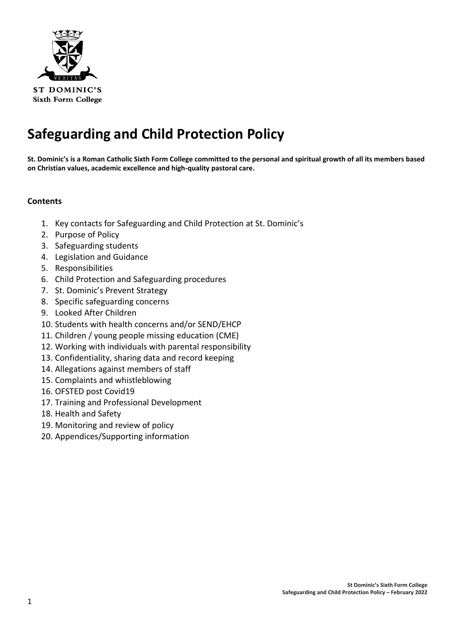

# **Safeguarding and Child Protection Policy**

**St. Dominic's is a Roman Catholic Sixth Form College committed to the personal and spiritual growth of all its members based on Christian values, academic excellence and high-quality pastoral care.**

#### **Contents**

- 1. Key contacts for Safeguarding and Child Protection at St. Dominic's
- 2. Purpose of Policy
- 3. Safeguarding students
- 4. Legislation and Guidance
- 5. Responsibilities
- 6. Child Protection and Safeguarding procedures
- 7. St. Dominic's Prevent Strategy
- 8. Specific safeguarding concerns
- 9. Looked After Children
- 10. Students with health concerns and/or SEND/EHCP
- 11. Children / young people missing education (CME)
- 12. Working with individuals with parental responsibility
- 13. Confidentiality, sharing data and record keeping
- 14. Allegations against members of staff
- 15. Complaints and whistleblowing
- 16. OFSTED post Covid19
- 17. Training and Professional Development
- 18. Health and Safety
- 19. Monitoring and review of policy
- 20. Appendices/Supporting information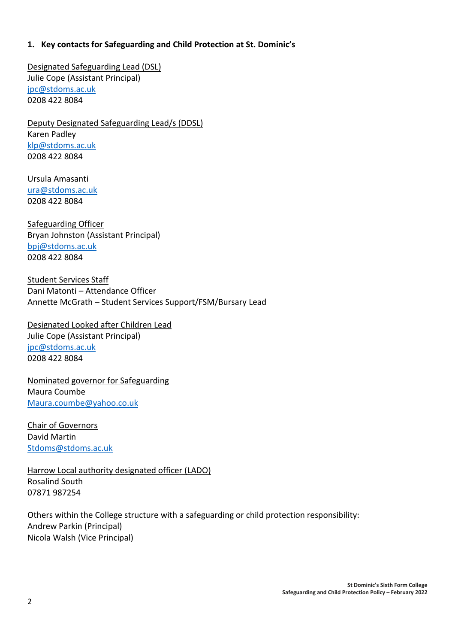#### **1. Key contacts for Safeguarding and Child Protection at St. Dominic's**

Designated Safeguarding Lead (DSL) Julie Cope (Assistant Principal) [jpc@stdoms.ac.uk](mailto:jpc@stdoms.ac.uk) 0208 422 8084

Deputy Designated Safeguarding Lead/s (DDSL) Karen Padley [klp@stdoms.ac.uk](mailto:klp@stdoms.ac.uk) 0208 422 8084

Ursula Amasanti [ura@stdoms.ac.uk](mailto:ura@stdoms.ac.uk) 0208 422 8084

Safeguarding Officer Bryan Johnston (Assistant Principal) [bpj@stdoms.ac.uk](mailto:bpj@stdoms.ac.uk) 0208 422 8084

Student Services Staff Dani Matonti – Attendance Officer Annette McGrath – Student Services Support/FSM/Bursary Lead

Designated Looked after Children Lead Julie Cope (Assistant Principal) [jpc@stdoms.ac.uk](mailto:jpc@stdoms.ac.uk) 0208 422 8084

Nominated governor for Safeguarding Maura Coumbe [Maura.coumbe@yahoo.co.uk](mailto:Maura.coumbe@yahoo.co.uk)

Chair of Governors David Martin [Stdoms@stdoms.ac.uk](mailto:Stdoms@stdoms.ac.uk)

Harrow Local authority designated officer (LADO) Rosalind South 07871 987254

Others within the College structure with a safeguarding or child protection responsibility: Andrew Parkin (Principal) Nicola Walsh (Vice Principal)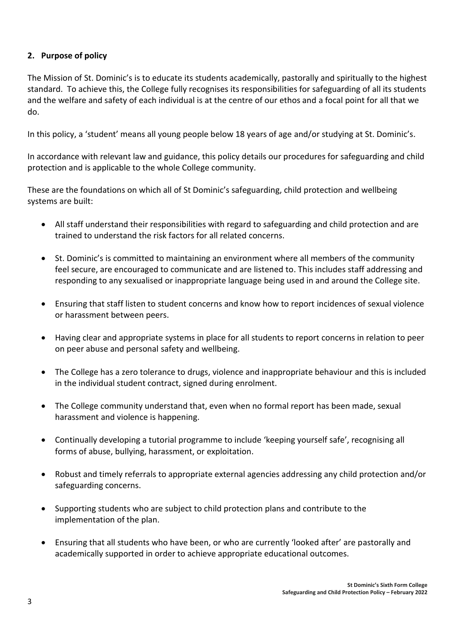#### **2. Purpose of policy**

The Mission of St. Dominic's is to educate its students academically, pastorally and spiritually to the highest standard. To achieve this, the College fully recognises its responsibilities for safeguarding of all its students and the welfare and safety of each individual is at the centre of our ethos and a focal point for all that we do.

In this policy, a 'student' means all young people below 18 years of age and/or studying at St. Dominic's.

In accordance with relevant law and guidance, this policy details our procedures for safeguarding and child protection and is applicable to the whole College community.

These are the foundations on which all of St Dominic's safeguarding, child protection and wellbeing systems are built:

- All staff understand their responsibilities with regard to safeguarding and child protection and are trained to understand the risk factors for all related concerns.
- St. Dominic's is committed to maintaining an environment where all members of the community feel secure, are encouraged to communicate and are listened to. This includes staff addressing and responding to any sexualised or inappropriate language being used in and around the College site.
- Ensuring that staff listen to student concerns and know how to report incidences of sexual violence or harassment between peers.
- Having clear and appropriate systems in place for all students to report concerns in relation to peer on peer abuse and personal safety and wellbeing.
- The College has a zero tolerance to drugs, violence and inappropriate behaviour and this is included in the individual student contract, signed during enrolment.
- The College community understand that, even when no formal report has been made, sexual harassment and violence is happening.
- Continually developing a tutorial programme to include 'keeping yourself safe', recognising all forms of abuse, bullying, harassment, or exploitation.
- Robust and timely referrals to appropriate external agencies addressing any child protection and/or safeguarding concerns.
- Supporting students who are subject to child protection plans and contribute to the implementation of the plan.
- Ensuring that all students who have been, or who are currently 'looked after' are pastorally and academically supported in order to achieve appropriate educational outcomes.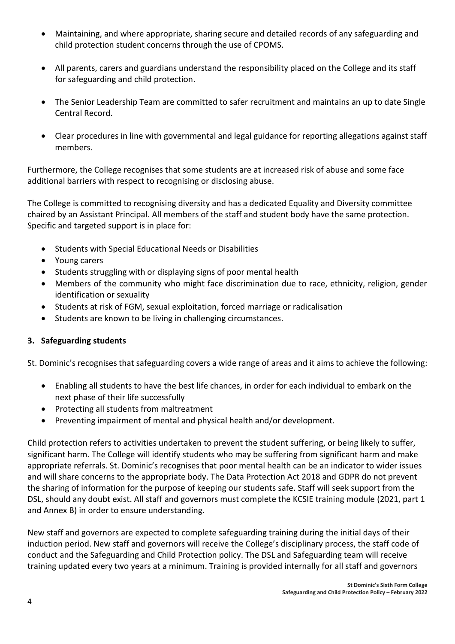- Maintaining, and where appropriate, sharing secure and detailed records of any safeguarding and child protection student concerns through the use of CPOMS.
- All parents, carers and guardians understand the responsibility placed on the College and its staff for safeguarding and child protection.
- The Senior Leadership Team are committed to safer recruitment and maintains an up to date Single Central Record.
- Clear procedures in line with governmental and legal guidance for reporting allegations against staff members.

Furthermore, the College recognises that some students are at increased risk of abuse and some face additional barriers with respect to recognising or disclosing abuse.

The College is committed to recognising diversity and has a dedicated Equality and Diversity committee chaired by an Assistant Principal. All members of the staff and student body have the same protection. Specific and targeted support is in place for:

- Students with Special Educational Needs or Disabilities
- Young carers
- Students struggling with or displaying signs of poor mental health
- Members of the community who might face discrimination due to race, ethnicity, religion, gender identification or sexuality
- Students at risk of FGM, sexual exploitation, forced marriage or radicalisation
- Students are known to be living in challenging circumstances.

#### **3. Safeguarding students**

St. Dominic's recognises that safeguarding covers a wide range of areas and it aims to achieve the following:

- Enabling all students to have the best life chances, in order for each individual to embark on the next phase of their life successfully
- Protecting all students from maltreatment
- Preventing impairment of mental and physical health and/or development.

Child protection refers to activities undertaken to prevent the student suffering, or being likely to suffer, significant harm. The College will identify students who may be suffering from significant harm and make appropriate referrals. St. Dominic's recognises that poor mental health can be an indicator to wider issues and will share concerns to the appropriate body. The Data Protection Act 2018 and GDPR do not prevent the sharing of information for the purpose of keeping our students safe. Staff will seek support from the DSL, should any doubt exist. All staff and governors must complete the KCSIE training module (2021, part 1 and Annex B) in order to ensure understanding.

New staff and governors are expected to complete safeguarding training during the initial days of their induction period. New staff and governors will receive the College's disciplinary process, the staff code of conduct and the Safeguarding and Child Protection policy. The DSL and Safeguarding team will receive training updated every two years at a minimum. Training is provided internally for all staff and governors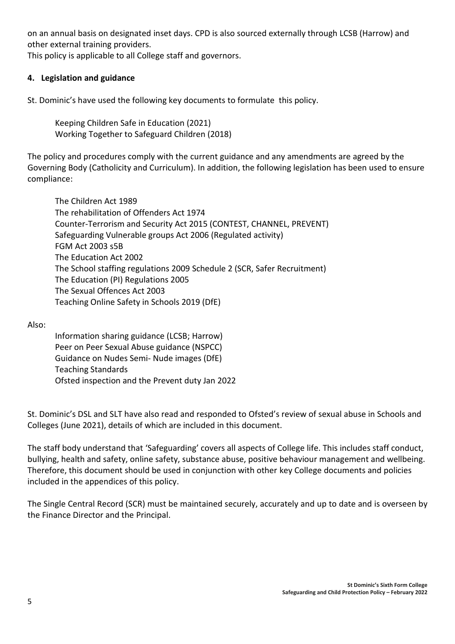on an annual basis on designated inset days. CPD is also sourced externally through LCSB (Harrow) and other external training providers.

This policy is applicable to all College staff and governors.

#### **4. Legislation and guidance**

St. Dominic's have used the following key documents to formulate this policy.

Keeping Children Safe in Education (2021) Working Together to Safeguard Children (2018)

The policy and procedures comply with the current guidance and any amendments are agreed by the Governing Body (Catholicity and Curriculum). In addition, the following legislation has been used to ensure compliance:

The Children Act 1989 The rehabilitation of Offenders Act 1974 Counter-Terrorism and Security Act 2015 (CONTEST, CHANNEL, PREVENT) Safeguarding Vulnerable groups Act 2006 (Regulated activity) FGM Act 2003 s5B The Education Act 2002 The School staffing regulations 2009 Schedule 2 (SCR, Safer Recruitment) The Education (PI) Regulations 2005 The Sexual Offences Act 2003 Teaching Online Safety in Schools 2019 (DfE)

Also:

Information sharing guidance (LCSB; Harrow) Peer on Peer Sexual Abuse guidance (NSPCC) Guidance on Nudes Semi- Nude images (DfE) Teaching Standards Ofsted inspection and the Prevent duty Jan 2022

St. Dominic's DSL and SLT have also read and responded to Ofsted's review of sexual abuse in Schools and Colleges (June 2021), details of which are included in this document.

The staff body understand that 'Safeguarding' covers all aspects of College life. This includes staff conduct, bullying, health and safety, online safety, substance abuse, positive behaviour management and wellbeing. Therefore, this document should be used in conjunction with other key College documents and policies included in the appendices of this policy.

The Single Central Record (SCR) must be maintained securely, accurately and up to date and is overseen by the Finance Director and the Principal.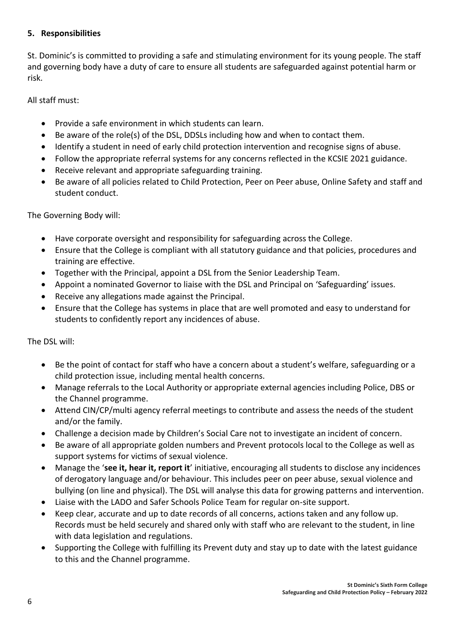#### **5. Responsibilities**

St. Dominic's is committed to providing a safe and stimulating environment for its young people. The staff and governing body have a duty of care to ensure all students are safeguarded against potential harm or risk.

#### All staff must:

- Provide a safe environment in which students can learn.
- Be aware of the role(s) of the DSL, DDSLs including how and when to contact them.
- Identify a student in need of early child protection intervention and recognise signs of abuse.
- Follow the appropriate referral systems for any concerns reflected in the KCSIE 2021 guidance.
- Receive relevant and appropriate safeguarding training.
- Be aware of all policies related to Child Protection, Peer on Peer abuse, Online Safety and staff and student conduct.

The Governing Body will:

- Have corporate oversight and responsibility for safeguarding across the College.
- Ensure that the College is compliant with all statutory guidance and that policies, procedures and training are effective.
- Together with the Principal, appoint a DSL from the Senior Leadership Team.
- Appoint a nominated Governor to liaise with the DSL and Principal on 'Safeguarding' issues.
- Receive any allegations made against the Principal.
- Ensure that the College has systems in place that are well promoted and easy to understand for students to confidently report any incidences of abuse.

The DSL will:

- Be the point of contact for staff who have a concern about a student's welfare, safeguarding or a child protection issue, including mental health concerns.
- Manage referrals to the Local Authority or appropriate external agencies including Police, DBS or the Channel programme.
- Attend CIN/CP/multi agency referral meetings to contribute and assess the needs of the student and/or the family.
- Challenge a decision made by Children's Social Care not to investigate an incident of concern.
- Be aware of all appropriate golden numbers and Prevent protocols local to the College as well as support systems for victims of sexual violence.
- Manage the '**see it, hear it, report it**' initiative, encouraging all students to disclose any incidences of derogatory language and/or behaviour. This includes peer on peer abuse, sexual violence and bullying (on line and physical). The DSL will analyse this data for growing patterns and intervention.
- Liaise with the LADO and Safer Schools Police Team for regular on-site support.
- Keep clear, accurate and up to date records of all concerns, actions taken and any follow up. Records must be held securely and shared only with staff who are relevant to the student, in line with data legislation and regulations.
- Supporting the College with fulfilling its Prevent duty and stay up to date with the latest guidance to this and the Channel programme.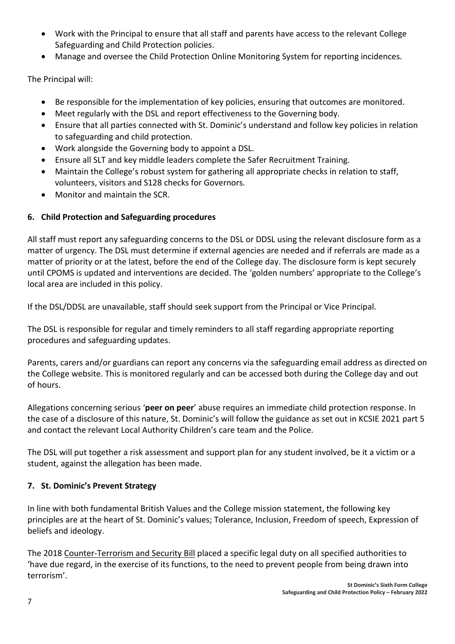- Work with the Principal to ensure that all staff and parents have access to the relevant College Safeguarding and Child Protection policies.
- Manage and oversee the Child Protection Online Monitoring System for reporting incidences.

The Principal will:

- Be responsible for the implementation of key policies, ensuring that outcomes are monitored.
- Meet regularly with the DSL and report effectiveness to the Governing body.
- Ensure that all parties connected with St. Dominic's understand and follow key policies in relation to safeguarding and child protection.
- Work alongside the Governing body to appoint a DSL.
- Ensure all SLT and key middle leaders complete the Safer Recruitment Training.
- Maintain the College's robust system for gathering all appropriate checks in relation to staff, volunteers, visitors and S128 checks for Governors.
- Monitor and maintain the SCR.

# **6. Child Protection and Safeguarding procedures**

All staff must report any safeguarding concerns to the DSL or DDSL using the relevant disclosure form as a matter of urgency. The DSL must determine if external agencies are needed and if referrals are made as a matter of priority or at the latest, before the end of the College day. The disclosure form is kept securely until CPOMS is updated and interventions are decided. The 'golden numbers' appropriate to the College's local area are included in this policy.

If the DSL/DDSL are unavailable, staff should seek support from the Principal or Vice Principal.

The DSL is responsible for regular and timely reminders to all staff regarding appropriate reporting procedures and safeguarding updates.

Parents, carers and/or guardians can report any concerns via the safeguarding email address as directed on the College website. This is monitored regularly and can be accessed both during the College day and out of hours.

Allegations concerning serious '**peer on peer**' abuse requires an immediate child protection response. In the case of a disclosure of this nature, St. Dominic's will follow the guidance as set out in KCSIE 2021 part 5 and contact the relevant Local Authority Children's care team and the Police.

The DSL will put together a risk assessment and support plan for any student involved, be it a victim or a student, against the allegation has been made.

# **7. St. Dominic's Prevent Strategy**

In line with both fundamental British Values and the College mission statement, the following key principles are at the heart of St. Dominic's values; Tolerance, Inclusion, Freedom of speech, Expression of beliefs and ideology.

The 2018 Counter-Terrorism and Security Bill placed a specific legal duty on all specified authorities to 'have due regard, in the exercise of its functions, to the need to prevent people from being drawn into terrorism'.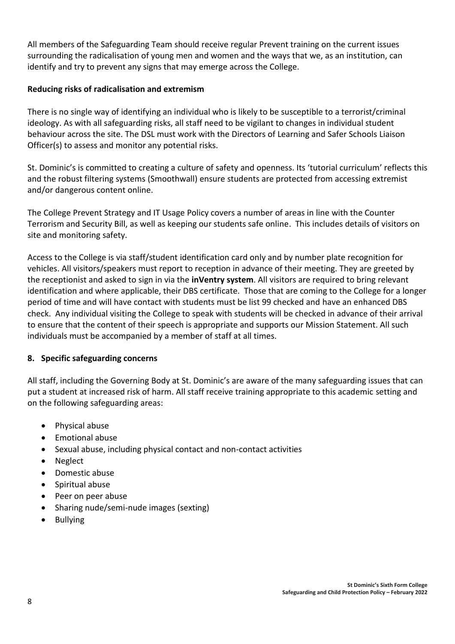All members of the Safeguarding Team should receive regular Prevent training on the current issues surrounding the radicalisation of young men and women and the ways that we, as an institution, can identify and try to prevent any signs that may emerge across the College.

#### **Reducing risks of radicalisation and extremism**

There is no single way of identifying an individual who is likely to be susceptible to a terrorist/criminal ideology. As with all safeguarding risks, all staff need to be vigilant to changes in individual student behaviour across the site. The DSL must work with the Directors of Learning and Safer Schools Liaison Officer(s) to assess and monitor any potential risks.

St. Dominic's is committed to creating a culture of safety and openness. Its 'tutorial curriculum' reflects this and the robust filtering systems (Smoothwall) ensure students are protected from accessing extremist and/or dangerous content online.

The College Prevent Strategy and IT Usage Policy covers a number of areas in line with the Counter Terrorism and Security Bill, as well as keeping our students safe online. This includes details of visitors on site and monitoring safety.

Access to the College is via staff/student identification card only and by number plate recognition for vehicles. All visitors/speakers must report to reception in advance of their meeting. They are greeted by the receptionist and asked to sign in via the **inVentry system**. All visitors are required to bring relevant identification and where applicable, their DBS certificate. Those that are coming to the College for a longer period of time and will have contact with students must be list 99 checked and have an enhanced DBS check. Any individual visiting the College to speak with students will be checked in advance of their arrival to ensure that the content of their speech is appropriate and supports our Mission Statement. All such individuals must be accompanied by a member of staff at all times.

#### **8. Specific safeguarding concerns**

All staff, including the Governing Body at St. Dominic's are aware of the many safeguarding issues that can put a student at increased risk of harm. All staff receive training appropriate to this academic setting and on the following safeguarding areas:

- Physical abuse
- Emotional abuse
- Sexual abuse, including physical contact and non-contact activities
- Neglect
- Domestic abuse
- Spiritual abuse
- Peer on peer abuse
- Sharing nude/semi-nude images (sexting)
- Bullying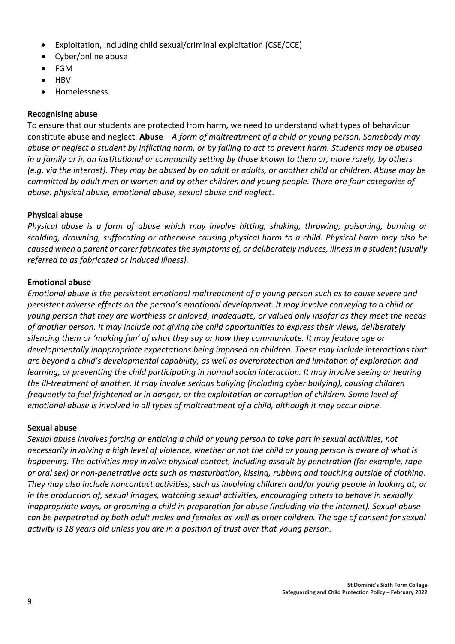- Exploitation, including child sexual/criminal exploitation (CSE/CCE)
- Cyber/online abuse
- FGM
- HBV
- Homelessness.

#### **Recognising abuse**

To ensure that our students are protected from harm, we need to understand what types of behaviour constitute abuse and neglect. **Abuse** – *A form of maltreatment of a child or young person. Somebody may abuse or neglect a student by inflicting harm, or by failing to act to prevent harm. Students may be abused in a family or in an institutional or community setting by those known to them or, more rarely, by others (e.g. via the internet). They may be abused by an adult or adults, or another child or children. Abuse may be committed by adult men or women and by other children and young people. There are four categories of abuse: physical abuse, emotional abuse, sexual abuse and neglect*.

#### **Physical abuse**

*Physical abuse is a form of abuse which may involve hitting, shaking, throwing, poisoning, burning or scalding, drowning, suffocating or otherwise causing physical harm to a child. Physical harm may also be caused when a parent or carer fabricates the symptoms of, or deliberately induces, illness in a student(usually referred to as fabricated or induced illness).* 

#### **Emotional abuse**

*Emotional abuse is the persistent emotional maltreatment of a young person such as to cause severe and persistent adverse effects on the person's emotional development. It may involve conveying to a child or young person that they are worthless or unloved, inadequate, or valued only insofar as they meet the needs of another person. It may include not giving the child opportunities to express their views, deliberately silencing them or 'making fun' of what they say or how they communicate. It may feature age or developmentally inappropriate expectations being imposed on children. These may include interactions that are beyond a child's developmental capability, as well as overprotection and limitation of exploration and learning, or preventing the child participating in normal social interaction. It may involve seeing or hearing the ill-treatment of another. It may involve serious bullying (including cyber bullying), causing children frequently to feel frightened or in danger, or the exploitation or corruption of children. Some level of emotional abuse is involved in all types of maltreatment of a child, although it may occur alone.* 

#### **Sexual abuse**

*Sexual abuse involves forcing or enticing a child or young person to take part in sexual activities, not necessarily involving a high level of violence, whether or not the child or young person is aware of what is happening. The activities may involve physical contact, including assault by penetration (for example, rape or oral sex) or non-penetrative acts such as masturbation, kissing, rubbing and touching outside of clothing. They may also include noncontact activities, such as involving children and/or young people in looking at, or in the production of, sexual images, watching sexual activities, encouraging others to behave in sexually inappropriate ways, or grooming a child in preparation for abuse (including via the internet). Sexual abuse can be perpetrated by both adult males and females as well as other children. The age of consent for sexual activity is 18 years old unless you are in a position of trust over that young person.*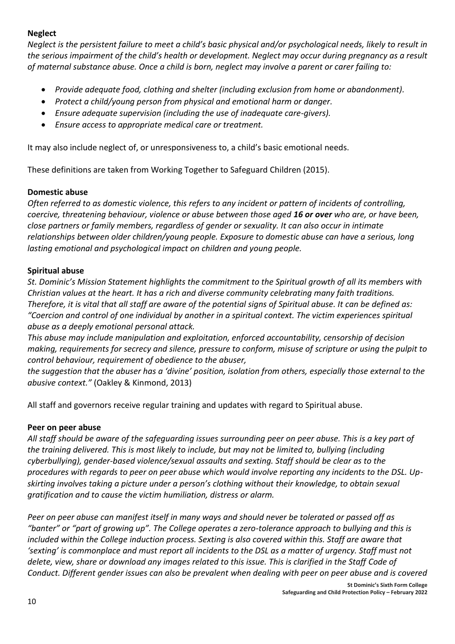#### **Neglect**

*Neglect is the persistent failure to meet a child's basic physical and/or psychological needs, likely to result in the serious impairment of the child's health or development. Neglect may occur during pregnancy as a result of maternal substance abuse. Once a child is born, neglect may involve a parent or carer failing to:*

- *Provide adequate food, clothing and shelter (including exclusion from home or abandonment).*
- *Protect a child/young person from physical and emotional harm or danger.*
- *Ensure adequate supervision (including the use of inadequate care-givers).*
- *Ensure access to appropriate medical care or treatment.*

It may also include neglect of, or unresponsiveness to, a child's basic emotional needs.

These definitions are taken from Working Together to Safeguard Children (2015).

#### **Domestic abuse**

*Often referred to as domestic violence, this refers to any incident or pattern of incidents of controlling, coercive, threatening behaviour, violence or abuse between those aged 16 or over who are, or have been, close partners or family members, regardless of gender or sexuality. It can also occur in intimate relationships between older children/young people. Exposure to domestic abuse can have a serious, long lasting emotional and psychological impact on children and young people.* 

#### **Spiritual abuse**

*St. Dominic's Mission Statement highlights the commitment to the Spiritual growth of all its members with Christian values at the heart. It has a rich and diverse community celebrating many faith traditions. Therefore, it is vital that all staff are aware of the potential signs of Spiritual abuse. It can be defined as: "Coercion and control of one individual by another in a spiritual context. The victim experiences spiritual abuse as a deeply emotional personal attack.* 

*This abuse may include manipulation and exploitation, enforced accountability, censorship of decision making, requirements for secrecy and silence, pressure to conform, misuse of scripture or using the pulpit to control behaviour, requirement of obedience to the abuser,* 

*the suggestion that the abuser has a 'divine' position, isolation from others, especially those external to the abusive context."* (Oakley & Kinmond, 2013)

All staff and governors receive regular training and updates with regard to Spiritual abuse.

#### **Peer on peer abuse**

*All staff should be aware of the safeguarding issues surrounding peer on peer abuse. This is a key part of the training delivered. This is most likely to include, but may not be limited to, bullying (including cyberbullying), gender-based violence/sexual assaults and sexting. Staff should be clear as to the procedures with regards to peer on peer abuse which would involve reporting any incidents to the DSL. Upskirting involves taking a picture under a person's clothing without their knowledge, to obtain sexual gratification and to cause the victim humiliation, distress or alarm.* 

*Peer on peer abuse can manifest itself in many ways and should never be tolerated or passed off as "banter" or "part of growing up". The College operates a zero-tolerance approach to bullying and this is included within the College induction process. Sexting is also covered within this. Staff are aware that 'sexting' is commonplace and must report all incidents to the DSL as a matter of urgency. Staff must not delete, view, share or download any images related to this issue. This is clarified in the Staff Code of Conduct. Different gender issues can also be prevalent when dealing with peer on peer abuse and is covered*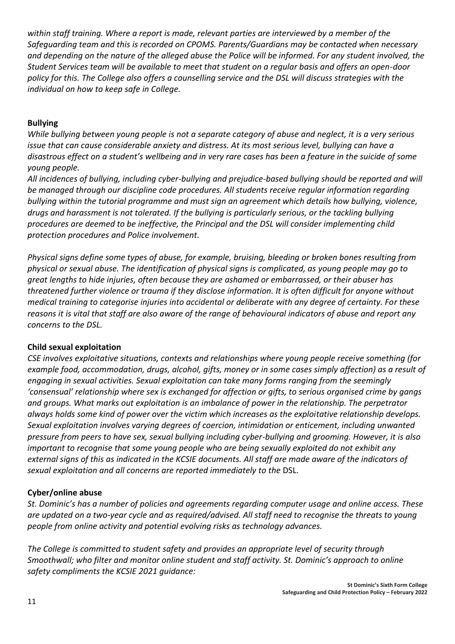*within staff training. Where a report is made, relevant parties are interviewed by a member of the Safeguarding team and this is recorded on CPOMS. Parents/Guardians may be contacted when necessary and depending on the nature of the alleged abuse the Police will be informed. For any student involved, the Student Services team will be available to meet that student on a regular basis and offers an open-door policy for this. The College also offers a counselling service and the DSL will discuss strategies with the individual on how to keep safe in College.* 

#### **Bullying**

*While bullying between young people is not a separate category of abuse and neglect, it is a very serious issue that can cause considerable anxiety and distress. At its most serious level, bullying can have a disastrous effect on a student's wellbeing and in very rare cases has been a feature in the suicide of some young people.* 

*All incidences of bullying, including cyber-bullying and prejudice-based bullying should be reported and will be managed through our discipline code procedures. All students receive regular information regarding bullying within the tutorial programme and must sign an agreement which details how bullying, violence, drugs and harassment is not tolerated. If the bullying is particularly serious, or the tackling bullying procedures are deemed to be ineffective, the Principal and the DSL will consider implementing child protection procedures and Police involvement.* 

*Physical signs define some types of abuse, for example, bruising, bleeding or broken bones resulting from physical or sexual abuse. The identification of physical signs is complicated, as young people may go to great lengths to hide injuries, often because they are ashamed or embarrassed, or their abuser has threatened further violence or trauma if they disclose information. It is often difficult for anyone without medical training to categorise injuries into accidental or deliberate with any degree of certainty. For these reasons it is vital that staff are also aware of the range of behavioural indicators of abuse and report any concerns to the DSL.* 

#### **Child sexual exploitation**

*CSE involves exploitative situations, contexts and relationships where young people receive something (for example food, accommodation, drugs, alcohol, gifts, money or in some cases simply affection) as a result of engaging in sexual activities. Sexual exploitation can take many forms ranging from the seemingly 'consensual' relationship where sex is exchanged for affection or gifts, to serious organised crime by gangs and groups. What marks out exploitation is an imbalance of power in the relationship. The perpetrator always holds some kind of power over the victim which increases as the exploitative relationship develops. Sexual exploitation involves varying degrees of coercion, intimidation or enticement, including unwanted pressure from peers to have sex, sexual bullying including cyber-bullying and grooming. However, it is also important to recognise that some young people who are being sexually exploited do not exhibit any external signs of this as indicated in the KCSIE documents. All staff are made aware of the indicators of sexual exploitation and all concerns are reported immediately to the* DSL.

#### **Cyber/online abuse**

*St. Dominic's has a number of policies and agreements regarding computer usage and online access. These are updated on a two-year cycle and as required/advised. All staff need to recognise the threats to young people from online activity and potential evolving risks as technology advances.*

*The College is committed to student safety and provides an appropriate level of security through Smoothwall; who filter and monitor online student and staff activity. St. Dominic's approach to online safety compliments the KCSIE 2021 guidance:*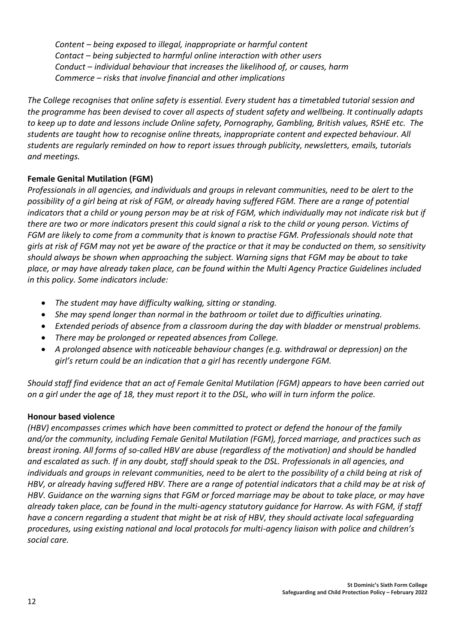*Content – being exposed to illegal, inappropriate or harmful content Contact – being subjected to harmful online interaction with other users Conduct – individual behaviour that increases the likelihood of, or causes, harm Commerce – risks that involve financial and other implications*

*The College recognises that online safety is essential. Every student has a timetabled tutorial session and the programme has been devised to cover all aspects of student safety and wellbeing. It continually adapts to keep up to date and lessons include Online safety, Pornography, Gambling, British values, RSHE etc. The students are taught how to recognise online threats, inappropriate content and expected behaviour. All students are regularly reminded on how to report issues through publicity, newsletters, emails, tutorials and meetings.*

# **Female Genital Mutilation (FGM)**

*Professionals in all agencies, and individuals and groups in relevant communities, need to be alert to the possibility of a girl being at risk of FGM, or already having suffered FGM. There are a range of potential indicators that a child or young person may be at risk of FGM, which individually may not indicate risk but if there are two or more indicators present this could signal a risk to the child or young person. Victims of FGM are likely to come from a community that is known to practise FGM. Professionals should note that girls at risk of FGM may not yet be aware of the practice or that it may be conducted on them, so sensitivity should always be shown when approaching the subject. Warning signs that FGM may be about to take place, or may have already taken place, can be found within the Multi Agency Practice Guidelines included in this policy. Some indicators include:* 

- *The student may have difficulty walking, sitting or standing.*
- *She may spend longer than normal in the bathroom or toilet due to difficulties urinating.*
- *Extended periods of absence from a classroom during the day with bladder or menstrual problems.*
- *There may be prolonged or repeated absences from College.*
- *A prolonged absence with noticeable behaviour changes (e.g. withdrawal or depression) on the girl's return could be an indication that a girl has recently undergone FGM.*

*Should staff find evidence that an act of Female Genital Mutilation (FGM) appears to have been carried out on a girl under the age of 18, they must report it to the DSL, who will in turn inform the police.* 

#### **Honour based violence**

*(HBV) encompasses crimes which have been committed to protect or defend the honour of the family and/or the community, including Female Genital Mutilation (FGM), forced marriage, and practices such as breast ironing. All forms of so-called HBV are abuse (regardless of the motivation) and should be handled and escalated as such. If in any doubt, staff should speak to the DSL. Professionals in all agencies, and individuals and groups in relevant communities, need to be alert to the possibility of a child being at risk of HBV, or already having suffered HBV. There are a range of potential indicators that a child may be at risk of HBV. Guidance on the warning signs that FGM or forced marriage may be about to take place, or may have already taken place, can be found in the multi-agency statutory guidance for Harrow. As with FGM, if staff have a concern regarding a student that might be at risk of HBV, they should activate local safeguarding procedures, using existing national and local protocols for multi-agency liaison with police and children's social care.*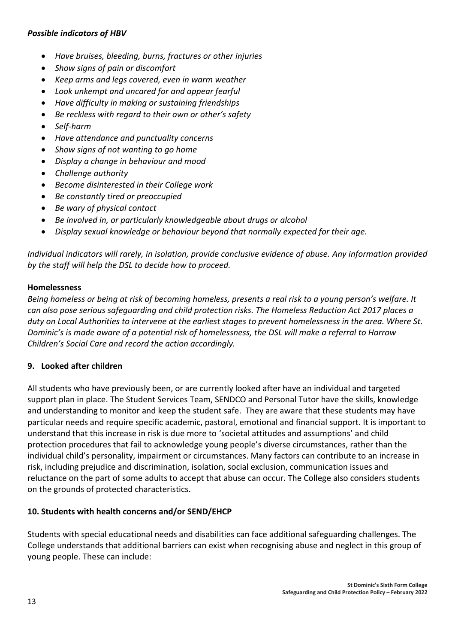#### *Possible indicators of HBV*

- *Have bruises, bleeding, burns, fractures or other injuries*
- *Show signs of pain or discomfort*
- *Keep arms and legs covered, even in warm weather*
- *Look unkempt and uncared for and appear fearful*
- *Have difficulty in making or sustaining friendships*
- *Be reckless with regard to their own or other's safety*
- *Self-harm*
- *Have attendance and punctuality concerns*
- *Show signs of not wanting to go home*
- *Display a change in behaviour and mood*
- *Challenge authority*
- *Become disinterested in their College work*
- *Be constantly tired or preoccupied*
- *Be wary of physical contact*
- *Be involved in, or particularly knowledgeable about drugs or alcohol*
- *Display sexual knowledge or behaviour beyond that normally expected for their age.*

*Individual indicators will rarely, in isolation, provide conclusive evidence of abuse. Any information provided by the staff will help the DSL to decide how to proceed.*

#### **Homelessness**

*Being homeless or being at risk of becoming homeless, presents a real risk to a young person's welfare. It can also pose serious safeguarding and child protection risks. The Homeless Reduction Act 2017 places a duty on Local Authorities to intervene at the earliest stages to prevent homelessness in the area. Where St. Dominic's is made aware of a potential risk of homelessness, the DSL will make a referral to Harrow Children's Social Care and record the action accordingly.*

#### **9. Looked after children**

All students who have previously been, or are currently looked after have an individual and targeted support plan in place. The Student Services Team, SENDCO and Personal Tutor have the skills, knowledge and understanding to monitor and keep the student safe. They are aware that these students may have particular needs and require specific academic, pastoral, emotional and financial support. It is important to understand that this increase in risk is due more to 'societal attitudes and assumptions' and child protection procedures that fail to acknowledge young people's diverse circumstances, rather than the individual child's personality, impairment or circumstances. Many factors can contribute to an increase in risk, including prejudice and discrimination, isolation, social exclusion, communication issues and reluctance on the part of some adults to accept that abuse can occur. The College also considers students on the grounds of protected characteristics.

#### **10. Students with health concerns and/or SEND/EHCP**

Students with special educational needs and disabilities can face additional safeguarding challenges. The College understands that additional barriers can exist when recognising abuse and neglect in this group of young people. These can include: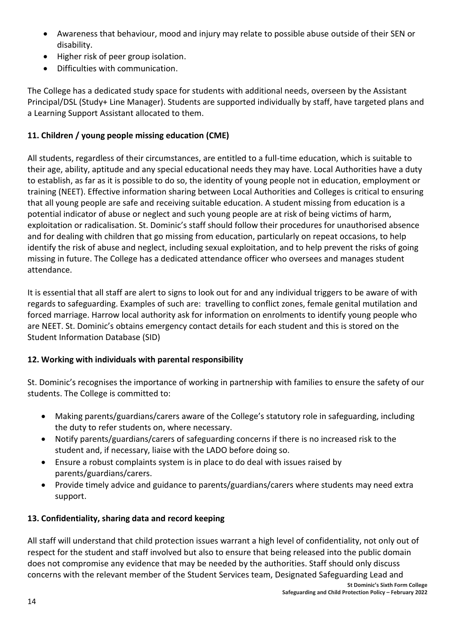- Awareness that behaviour, mood and injury may relate to possible abuse outside of their SEN or disability.
- Higher risk of peer group isolation.
- Difficulties with communication.

The College has a dedicated study space for students with additional needs, overseen by the Assistant Principal/DSL (Study+ Line Manager). Students are supported individually by staff, have targeted plans and a Learning Support Assistant allocated to them.

# **11. Children / young people missing education (CME)**

All students, regardless of their circumstances, are entitled to a full-time education, which is suitable to their age, ability, aptitude and any special educational needs they may have. Local Authorities have a duty to establish, as far as it is possible to do so, the identity of young people not in education, employment or training (NEET). Effective information sharing between Local Authorities and Colleges is critical to ensuring that all young people are safe and receiving suitable education. A student missing from education is a potential indicator of abuse or neglect and such young people are at risk of being victims of harm, exploitation or radicalisation. St. Dominic's staff should follow their procedures for unauthorised absence and for dealing with children that go missing from education, particularly on repeat occasions, to help identify the risk of abuse and neglect, including sexual exploitation, and to help prevent the risks of going missing in future. The College has a dedicated attendance officer who oversees and manages student attendance.

It is essential that all staff are alert to signs to look out for and any individual triggers to be aware of with regards to safeguarding. Examples of such are: travelling to conflict zones, female genital mutilation and forced marriage. Harrow local authority ask for information on enrolments to identify young people who are NEET. St. Dominic's obtains emergency contact details for each student and this is stored on the Student Information Database (SID)

# **12. Working with individuals with parental responsibility**

St. Dominic's recognises the importance of working in partnership with families to ensure the safety of our students. The College is committed to:

- Making parents/guardians/carers aware of the College's statutory role in safeguarding, including the duty to refer students on, where necessary.
- Notify parents/guardians/carers of safeguarding concerns if there is no increased risk to the student and, if necessary, liaise with the LADO before doing so.
- Ensure a robust complaints system is in place to do deal with issues raised by parents/guardians/carers.
- Provide timely advice and guidance to parents/guardians/carers where students may need extra support.

# **13. Confidentiality, sharing data and record keeping**

All staff will understand that child protection issues warrant a high level of confidentiality, not only out of respect for the student and staff involved but also to ensure that being released into the public domain does not compromise any evidence that may be needed by the authorities. Staff should only discuss concerns with the relevant member of the Student Services team, Designated Safeguarding Lead and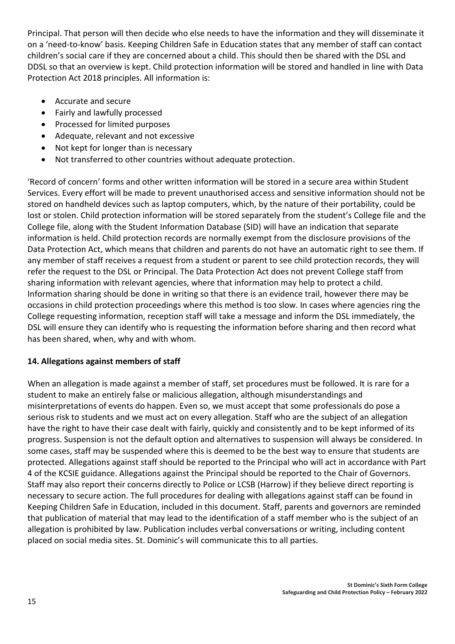Principal. That person will then decide who else needs to have the information and they will disseminate it on a 'need-to-know' basis. Keeping Children Safe in Education states that any member of staff can contact children's social care if they are concerned about a child. This should then be shared with the DSL and DDSL so that an overview is kept. Child protection information will be stored and handled in line with Data Protection Act 2018 principles. All information is:

- Accurate and secure
- Fairly and lawfully processed
- Processed for limited purposes
- Adequate, relevant and not excessive
- Not kept for longer than is necessary
- Not transferred to other countries without adequate protection.

'Record of concern' forms and other written information will be stored in a secure area within Student Services. Every effort will be made to prevent unauthorised access and sensitive information should not be stored on handheld devices such as laptop computers, which, by the nature of their portability, could be lost or stolen. Child protection information will be stored separately from the student's College file and the College file, along with the Student Information Database (SID) will have an indication that separate information is held. Child protection records are normally exempt from the disclosure provisions of the Data Protection Act, which means that children and parents do not have an automatic right to see them. If any member of staff receives a request from a student or parent to see child protection records, they will refer the request to the DSL or Principal. The Data Protection Act does not prevent College staff from sharing information with relevant agencies, where that information may help to protect a child. Information sharing should be done in writing so that there is an evidence trail, however there may be occasions in child protection proceedings where this method is too slow. In cases where agencies ring the College requesting information, reception staff will take a message and inform the DSL immediately, the DSL will ensure they can identify who is requesting the information before sharing and then record what has been shared, when, why and with whom.

# **14. Allegations against members of staff**

When an allegation is made against a member of staff, set procedures must be followed. It is rare for a student to make an entirely false or malicious allegation, although misunderstandings and misinterpretations of events do happen. Even so, we must accept that some professionals do pose a serious risk to students and we must act on every allegation. Staff who are the subject of an allegation have the right to have their case dealt with fairly, quickly and consistently and to be kept informed of its progress. Suspension is not the default option and alternatives to suspension will always be considered. In some cases, staff may be suspended where this is deemed to be the best way to ensure that students are protected. Allegations against staff should be reported to the Principal who will act in accordance with Part 4 of the KCSIE guidance. Allegations against the Principal should be reported to the Chair of Governors. Staff may also report their concerns directly to Police or LCSB (Harrow) if they believe direct reporting is necessary to secure action. The full procedures for dealing with allegations against staff can be found in Keeping Children Safe in Education, included in this document. Staff, parents and governors are reminded that publication of material that may lead to the identification of a staff member who is the subject of an allegation is prohibited by law. Publication includes verbal conversations or writing, including content placed on social media sites. St. Dominic's will communicate this to all parties.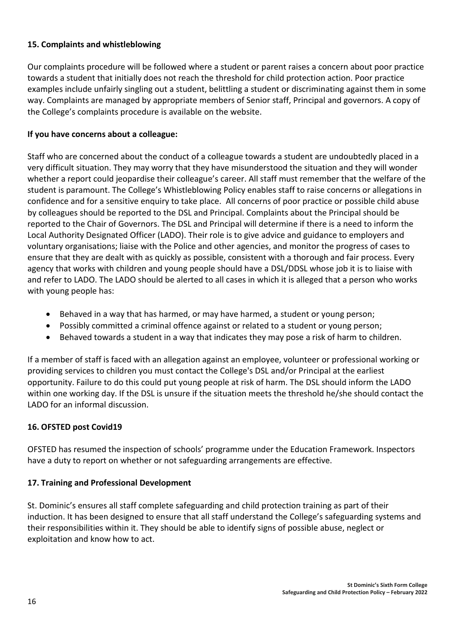#### **15. Complaints and whistleblowing**

Our complaints procedure will be followed where a student or parent raises a concern about poor practice towards a student that initially does not reach the threshold for child protection action. Poor practice examples include unfairly singling out a student, belittling a student or discriminating against them in some way. Complaints are managed by appropriate members of Senior staff, Principal and governors. A copy of the College's complaints procedure is available on the website.

#### **If you have concerns about a colleague:**

Staff who are concerned about the conduct of a colleague towards a student are undoubtedly placed in a very difficult situation. They may worry that they have misunderstood the situation and they will wonder whether a report could jeopardise their colleague's career. All staff must remember that the welfare of the student is paramount. The College's Whistleblowing Policy enables staff to raise concerns or allegations in confidence and for a sensitive enquiry to take place. All concerns of poor practice or possible child abuse by colleagues should be reported to the DSL and Principal. Complaints about the Principal should be reported to the Chair of Governors. The DSL and Principal will determine if there is a need to inform the Local Authority Designated Officer (LADO). Their role is to give advice and guidance to employers and voluntary organisations; liaise with the Police and other agencies, and monitor the progress of cases to ensure that they are dealt with as quickly as possible, consistent with a thorough and fair process. Every agency that works with children and young people should have a DSL/DDSL whose job it is to liaise with and refer to LADO. The LADO should be alerted to all cases in which it is alleged that a person who works with young people has:

- Behaved in a way that has harmed, or may have harmed, a student or young person;
- Possibly committed a criminal offence against or related to a student or young person;
- Behaved towards a student in a way that indicates they may pose a risk of harm to children.

If a member of staff is faced with an allegation against an employee, volunteer or professional working or providing services to children you must contact the College's DSL and/or Principal at the earliest opportunity. Failure to do this could put young people at risk of harm. The DSL should inform the LADO within one working day. If the DSL is unsure if the situation meets the threshold he/she should contact the LADO for an informal discussion.

#### **16. OFSTED post Covid19**

OFSTED has resumed the inspection of schools' programme under the Education Framework. Inspectors have a duty to report on whether or not safeguarding arrangements are effective.

#### **17. Training and Professional Development**

St. Dominic's ensures all staff complete safeguarding and child protection training as part of their induction. It has been designed to ensure that all staff understand the College's safeguarding systems and their responsibilities within it. They should be able to identify signs of possible abuse, neglect or exploitation and know how to act.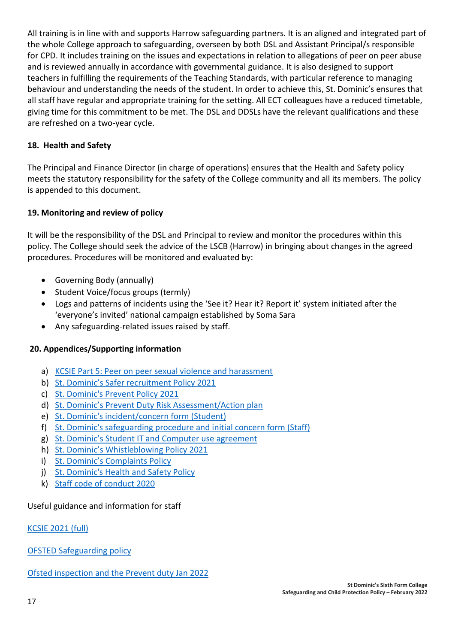All training is in line with and supports Harrow safeguarding partners. It is an aligned and integrated part of the whole College approach to safeguarding, overseen by both DSL and Assistant Principal/s responsible for CPD. It includes training on the issues and expectations in relation to allegations of peer on peer abuse and is reviewed annually in accordance with governmental guidance. It is also designed to support teachers in fulfilling the requirements of the Teaching Standards, with particular reference to managing behaviour and understanding the needs of the student. In order to achieve this, St. Dominic's ensures that all staff have regular and appropriate training for the setting. All ECT colleagues have a reduced timetable, giving time for this commitment to be met. The DSL and DDSLs have the relevant qualifications and these are refreshed on a two-year cycle.

#### **18. Health and Safety**

The Principal and Finance Director (in charge of operations) ensures that the Health and Safety policy meets the statutory responsibility for the safety of the College community and all its members. The policy is appended to this document.

#### **19. Monitoring and review of policy**

It will be the responsibility of the DSL and Principal to review and monitor the procedures within this policy. The College should seek the advice of the LSCB (Harrow) in bringing about changes in the agreed procedures. Procedures will be monitored and evaluated by:

- Governing Body (annually)
- Student Voice/focus groups (termly)
- Logs and patterns of incidents using the 'See it? Hear it? Report it' system initiated after the 'everyone's invited' national campaign established by Soma Sara
- Any safeguarding-related issues raised by staff.

# **20. Appendices/Supporting information**

- a) [KCSIE Part 5: Peer on peer sexual violence and harassment](https://www.keepingchildrensafeineducation.co.uk/part_five_ch_sex_viol.html)
- b) [St. Dominic's Safer recruitment Policy 2021](https://stdominicssixthformcollege-my.sharepoint.com/personal/jpc_stdoms_ac_uk/Documents/Asst%20Prin/Safeguarding/Safeguarding%202021/Safer%20Recruitment%20Policy%202021.docx)
- c) [St. Dominic's Prevent Policy 2021](https://stdominicssixthformcollege-my.sharepoint.com/personal/jpc_stdoms_ac_uk/Documents/Asst%20Prin/Safeguarding/Prevent%20Policy%202021.docx)
- d) [St. Dominic's Prevent Duty Risk Assessment/Action plan](https://stdominicssixthformcollege-my.sharepoint.com/personal/jpc_stdoms_ac_uk/Documents/Asst%20Prin/Safeguarding/Safeguarding%202021/Prevent%20Duty%20Risk%20Assessment_Action%20Plan%20Nov%2021.doc)
- e) [St. Dominic's incident/concern form \(Student\)](https://stdominicssixthformcollege-my.sharepoint.com/personal/jpc_stdoms_ac_uk/Documents/Asst%20Prin/Safeguarding/Student%20incident%20record.docx)
- f) [St. Dominic's safeguarding procedure and initial concern form](https://stdominicssixthformcollege-my.sharepoint.com/personal/jpc_stdoms_ac_uk/Documents/Asst%20Prin/Safeguarding/Safeguarding%202021/Safeguarding%20%20procedure%20and%20initial%20concern%20form.docx) (Staff)
- g) St. Dominic's St[udent IT and Computer use](https://stdominicssixthformcollege-my.sharepoint.com/personal/jpc_stdoms_ac_uk/Documents/Asst%20Prin/Safeguarding/Safeguarding%202021/Student%20IT%20agreement%202022.docx) agreement
- h) St. Dominic's W[histleblowing Policy 2021](file:///C:/Users/jpc/OneDrive%20-%20St.%20Dominic’s%20Sixth%20Form%20College/Asst%20Prin/Safeguarding/Safeguarding%202021/Whistleblowing%20Policy.docx)
- i) [St. Dominic's Complaints Policy](https://stdominicssixthformcollege-my.sharepoint.com/personal/jpc_stdoms_ac_uk/Documents/Asst%20Prin/Safeguarding/Safeguarding%202021/Complaints%20Procedure%20Policy%20-%20website.pdf)
- j) [St. Dominic's Health and Safety Policy](https://stdominicssixthformcollege-my.sharepoint.com/personal/jpc_stdoms_ac_uk/Documents/Asst%20Prin/Safeguarding/Safeguarding%202021/Health%20&%20Safety%20Policy.pdf)
- k) [Staff code of conduct 2020](https://stdominicssixthformcollege-my.sharepoint.com/personal/jpc_stdoms_ac_uk/Documents/Asst%20Prin/Safeguarding/Safeguarding%202021/staff%20code%20of%20conduct%202020.docx)

#### Useful guidance and information for staff

[KCSIE 2021 \(full\)](https://assets.publishing.service.gov.uk/government/uploads/system/uploads/attachment_data/file/1021914/KCSIE_2021_September_guidance.pdf)

[OFSTED Safeguarding policy](https://www.gov.uk/government/publications/ofsted-safeguarding-policy)

[Ofsted inspection and the Prevent duty Jan 2022](https://stdominicssixthformcollege-my.sharepoint.com/personal/jpc_stdoms_ac_uk/Documents/Asst%20Prin/Safeguarding/Safeguarding%202021/Ofsted%20inspection%20and%20the%20Prevent%20duty%20Jan%2022.pdf)